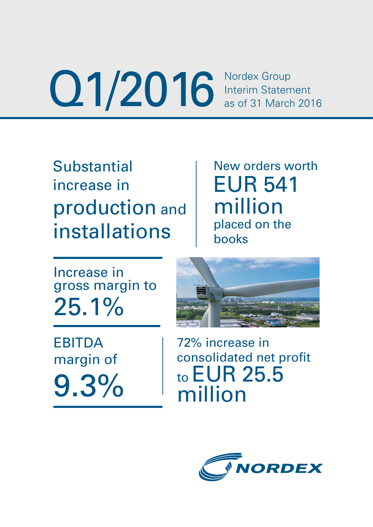O1/2016 Interim Statement<br>
as of 31 March 2016

**Substantial** increase in production and installations

New orders worth EUR 541 million placed on the books

Increase in gross margin to 25.1%

EBITDA margin of 9.3%



72% increase in consolidated net profit to EUR 25.5 million

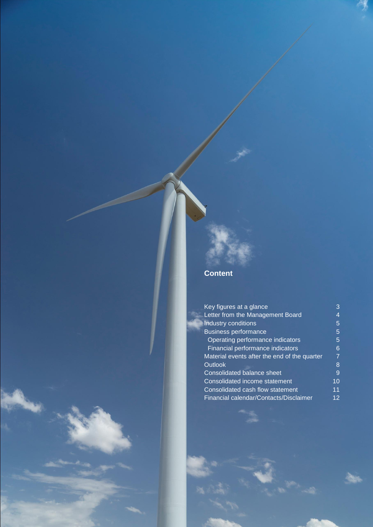# **Content**

| Key figures at a glance                      | 3  |
|----------------------------------------------|----|
| Letter from the Management Board             |    |
| Industry conditions                          | 5  |
| <b>Business performance</b>                  | 5  |
| Operating performance indicators             | 5  |
| Financial performance indicators             | 6  |
| Material events after the end of the quarter | 7  |
| <b>Outlook</b>                               | 8  |
| Consolidated balance sheet                   | 9  |
| Consolidated income statement                | 10 |
| Consolidated cash flow statement             | 11 |
| Financial calendar/Contacts/Disclaimer       | 12 |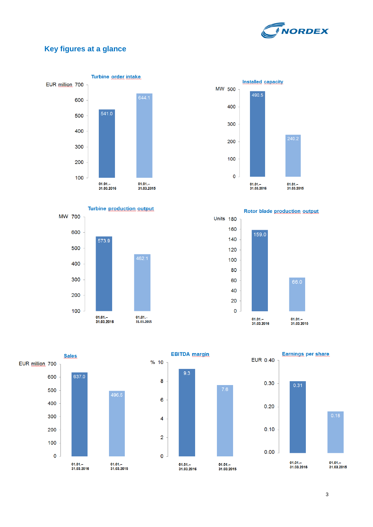

# **Key figures at a glance**







Rotor blade production output



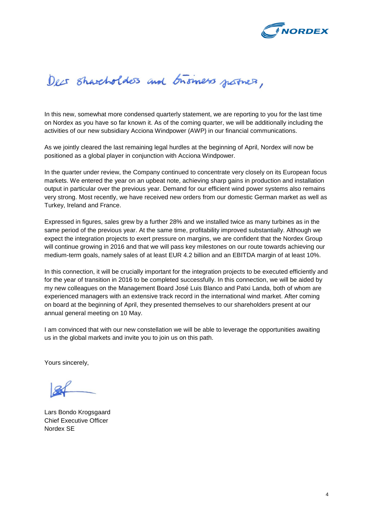

# Decs Shareholders and business justices,

In this new, somewhat more condensed quarterly statement, we are reporting to you for the last time on Nordex as you have so far known it. As of the coming quarter, we will be additionally including the activities of our new subsidiary Acciona Windpower (AWP) in our financial communications.

As we jointly cleared the last remaining legal hurdles at the beginning of April, Nordex will now be positioned as a global player in conjunction with Acciona Windpower.

In the quarter under review, the Company continued to concentrate very closely on its European focus markets. We entered the year on an upbeat note, achieving sharp gains in production and installation output in particular over the previous year. Demand for our efficient wind power systems also remains very strong. Most recently, we have received new orders from our domestic German market as well as Turkey, Ireland and France.

Expressed in figures, sales grew by a further 28% and we installed twice as many turbines as in the same period of the previous year. At the same time, profitability improved substantially. Although we expect the integration projects to exert pressure on margins, we are confident that the Nordex Group will continue growing in 2016 and that we will pass key milestones on our route towards achieving our medium-term goals, namely sales of at least EUR 4.2 billion and an EBITDA margin of at least 10%.

In this connection, it will be crucially important for the integration projects to be executed efficiently and for the year of transition in 2016 to be completed successfully. In this connection, we will be aided by my new colleagues on the Management Board José Luis Blanco and Patxi Landa, both of whom are experienced managers with an extensive track record in the international wind market. After coming on board at the beginning of April, they presented themselves to our shareholders present at our annual general meeting on 10 May.

I am convinced that with our new constellation we will be able to leverage the opportunities awaiting us in the global markets and invite you to join us on this path.

Yours sincerely,

Lars Bondo Krogsgaard Chief Executive Officer Nordex SE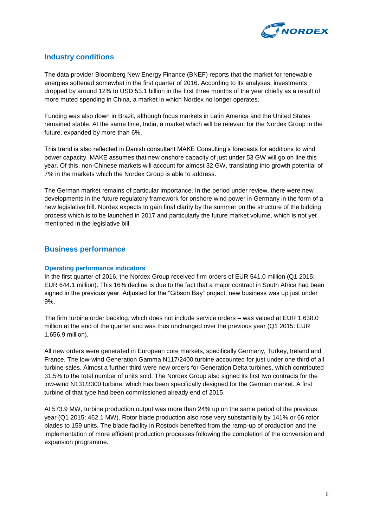

## **Industry conditions**

The data provider Bloomberg New Energy Finance (BNEF) reports that the market for renewable energies softened somewhat in the first quarter of 2016. According to its analyses, investments dropped by around 12% to USD 53.1 billion in the first three months of the year chiefly as a result of more muted spending in China, a market in which Nordex no longer operates.

Funding was also down in Brazil, although focus markets in Latin America and the United States remained stable. At the same time, India, a market which will be relevant for the Nordex Group in the future, expanded by more than 6%.

This trend is also reflected in Danish consultant MAKE Consulting's forecasts for additions to wind power capacity. MAKE assumes that new onshore capacity of just under 53 GW will go on line this year. Of this, non-Chinese markets will account for almost 32 GW, translating into growth potential of 7% in the markets which the Nordex Group is able to address.

The German market remains of particular importance. In the period under review, there were new developments in the future regulatory framework for onshore wind power in Germany in the form of a new legislative bill. Nordex expects to gain final clarity by the summer on the structure of the bidding process which is to be launched in 2017 and particularly the future market volume, which is not yet mentioned in the legislative bill.

#### **Business performance**

#### **Operating performance indicators**

In the first quarter of 2016, the Nordex Group received firm orders of EUR 541.0 million (Q1 2015: EUR 644.1 million). This 16% decline is due to the fact that a major contract in South Africa had been signed in the previous year. Adjusted for the "Gibson Bay" project, new business was up just under 9%.

The firm turbine order backlog, which does not include service orders – was valued at EUR 1,638.0 million at the end of the quarter and was thus unchanged over the previous year (Q1 2015: EUR 1,656.9 million).

All new orders were generated in European core markets, specifically Germany, Turkey, Ireland and France. The low-wind Generation Gamma N117/2400 turbine accounted for just under one third of all turbine sales. Almost a further third were new orders for Generation Delta turbines, which contributed 31.5% to the total number of units sold. The Nordex Group also signed its first two contracts for the low-wind N131/3300 turbine, which has been specifically designed for the German market. A first turbine of that type had been commissioned already end of 2015.

At 573.9 MW, turbine production output was more than 24% up on the same period of the previous year (Q1 2015: 462.1 MW). Rotor blade production also rose very substantially by 141% or 66 rotor blades to 159 units. The blade facility in Rostock benefited from the ramp-up of production and the implementation of more efficient production processes following the completion of the conversion and expansion programme.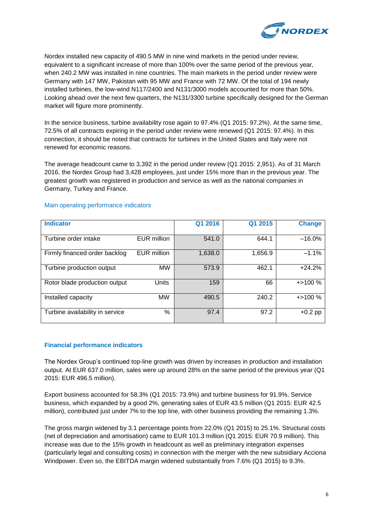

Nordex installed new capacity of 490.5 MW in nine wind markets in the period under review, equivalent to a significant increase of more than 100% over the same period of the previous year, when 240.2 MW was installed in nine countries. The main markets in the period under review were Germany with 147 MW, Pakistan with 95 MW and France with 72 MW. Of the total of 194 newly installed turbines, the low-wind N117/2400 and N131/3000 models accounted for more than 50%. Looking ahead over the next few quarters, the N131/3300 turbine specifically designed for the German market will figure more prominently.

In the service business, turbine availability rose again to 97.4% (Q1 2015: 97.2%). At the same time, 72.5% of all contracts expiring in the period under review were renewed (Q1 2015: 97.4%). In this connection, it should be noted that contracts for turbines in the United States and Italy were not renewed for economic reasons.

The average headcount came to 3,392 in the period under review (Q1 2015: 2,951). As of 31 March 2016, the Nordex Group had 3,428 employees, just under 15% more than in the previous year. The greatest growth was registered in production and service as well as the national companies in Germany, Turkey and France.

| <b>Indicator</b>                |                    | Q1 2016 | Q1 2015 | <b>Change</b> |
|---------------------------------|--------------------|---------|---------|---------------|
| Turbine order intake            | <b>EUR</b> million | 541.0   | 644.1   | $-16.0%$      |
| Firmly financed order backlog   | <b>EUR million</b> | 1,638.0 | 1,656.9 | $-1.1%$       |
| Turbine production output       | <b>MW</b>          | 573.9   | 462.1   | $+24.2%$      |
| Rotor blade production output   | Units              | 159     | 66      | $+$ > 100 %   |
| Installed capacity              | <b>MW</b>          | 490.5   | 240.2   | $+$ > 100 %   |
| Turbine availability in service | %                  | 97.4    | 97.2    | $+0.2$ pp     |

#### Main operating performance indicators

#### **Financial performance indicators**

The Nordex Group's continued top-line growth was driven by increases in production and installation output. At EUR 637.0 million, sales were up around 28% on the same period of the previous year (Q1 2015: EUR 496.5 million).

Export business accounted for 58.3% (Q1 2015: 73.9%) and turbine business for 91.9%. Service business, which expanded by a good 2%, generating sales of EUR 43.5 million (Q1 2015: EUR 42.5 million), contributed just under 7% to the top line, with other business providing the remaining 1.3%.

The gross margin widened by 3.1 percentage points from 22.0% (Q1 2015) to 25.1%. Structural costs (net of depreciation and amortisation) came to EUR 101.3 million (Q1 2015: EUR 70.9 million). This increase was due to the 15% growth in headcount as well as preliminary integration expenses (particularly legal and consulting costs) in connection with the merger with the new subsidiary Acciona Windpower. Even so, the EBITDA margin widened substantially from 7.6% (Q1 2015) to 9.3%.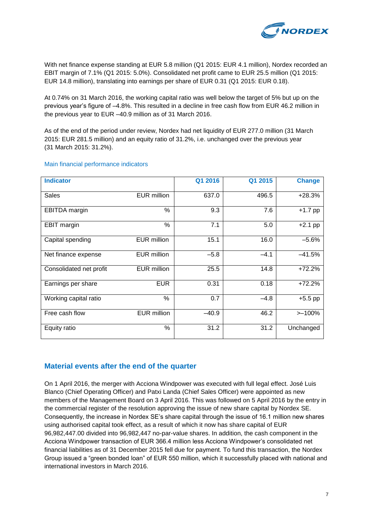

With net finance expense standing at EUR 5.8 million (Q1 2015: EUR 4.1 million), Nordex recorded an EBIT margin of 7.1% (Q1 2015: 5.0%). Consolidated net profit came to EUR 25.5 million (Q1 2015: EUR 14.8 million), translating into earnings per share of EUR 0.31 (Q1 2015: EUR 0.18).

At 0.74% on 31 March 2016, the working capital ratio was well below the target of 5% but up on the previous year's figure of –4.8%. This resulted in a decline in free cash flow from EUR 46.2 million in the previous year to EUR –40.9 million as of 31 March 2016.

As of the end of the period under review, Nordex had net liquidity of EUR 277.0 million (31 March 2015: EUR 281.5 million) and an equity ratio of 31.2%, i.e. unchanged over the previous year (31 March 2015: 31.2%).

| <b>Indicator</b>        |                    | Q1 2016 | Q1 2015 | <b>Change</b> |
|-------------------------|--------------------|---------|---------|---------------|
| <b>Sales</b>            | <b>EUR million</b> | 637.0   | 496.5   | $+28.3%$      |
| EBITDA margin           | $\%$               | 9.3     | 7.6     | $+1.7$ pp     |
| EBIT margin             | %                  | 7.1     | 5.0     | $+2.1$ pp     |
| Capital spending        | EUR million        | 15.1    | 16.0    | $-5.6%$       |
| Net finance expense     | EUR million        | $-5.8$  | $-4.1$  | $-41.5%$      |
| Consolidated net profit | <b>EUR million</b> | 25.5    | 14.8    | $+72.2%$      |
| Earnings per share      | <b>EUR</b>         | 0.31    | 0.18    | $+72.2%$      |
| Working capital ratio   | $\frac{0}{0}$      | 0.7     | $-4.8$  | $+5.5$ pp     |
| Free cash flow          | <b>EUR</b> million | $-40.9$ | 46.2    | $>100\%$      |
| Equity ratio            | %                  | 31.2    | 31.2    | Unchanged     |

#### Main financial performance indicators

#### **Material events after the end of the quarter**

On 1 April 2016, the merger with Acciona Windpower was executed with full legal effect. José Luis Blanco (Chief Operating Officer) and Patxi Landa (Chief Sales Officer) were appointed as new members of the Management Board on 3 April 2016. This was followed on 5 April 2016 by the entry in the commercial register of the resolution approving the issue of new share capital by Nordex SE. Consequently, the increase in Nordex SE's share capital through the issue of 16.1 million new shares using authorised capital took effect, as a result of which it now has share capital of EUR 96,982,447.00 divided into 96,982,447 no-par-value shares. In addition, the cash component in the Acciona Windpower transaction of EUR 366.4 million less Acciona Windpower's consolidated net financial liabilities as of 31 December 2015 fell due for payment. To fund this transaction, the Nordex Group issued a "green bonded loan" of EUR 550 million, which it successfully placed with national and international investors in March 2016.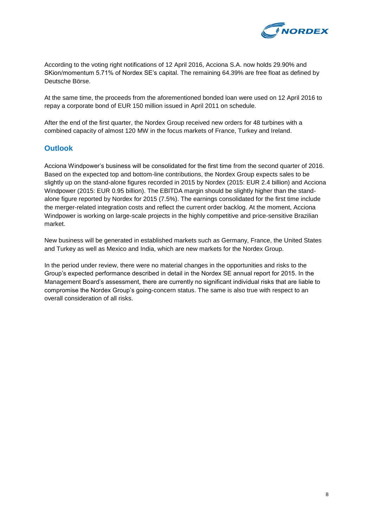

According to the voting right notifications of 12 April 2016, Acciona S.A. now holds 29.90% and SKion/momentum 5.71% of Nordex SE's capital. The remaining 64.39% are free float as defined by Deutsche Börse.

At the same time, the proceeds from the aforementioned bonded loan were used on 12 April 2016 to repay a corporate bond of EUR 150 million issued in April 2011 on schedule.

After the end of the first quarter, the Nordex Group received new orders for 48 turbines with a combined capacity of almost 120 MW in the focus markets of France, Turkey and Ireland.

#### **Outlook**

Acciona Windpower's business will be consolidated for the first time from the second quarter of 2016. Based on the expected top and bottom-line contributions, the Nordex Group expects sales to be slightly up on the stand-alone figures recorded in 2015 by Nordex (2015: EUR 2.4 billion) and Acciona Windpower (2015: EUR 0.95 billion). The EBITDA margin should be slightly higher than the standalone figure reported by Nordex for 2015 (7.5%). The earnings consolidated for the first time include the merger-related integration costs and reflect the current order backlog. At the moment, Acciona Windpower is working on large-scale projects in the highly competitive and price-sensitive Brazilian market.

New business will be generated in established markets such as Germany, France, the United States and Turkey as well as Mexico and India, which are new markets for the Nordex Group.

In the period under review, there were no material changes in the opportunities and risks to the Group's expected performance described in detail in the Nordex SE annual report for 2015. In the Management Board's assessment, there are currently no significant individual risks that are liable to compromise the Nordex Group's going-concern status. The same is also true with respect to an overall consideration of all risks.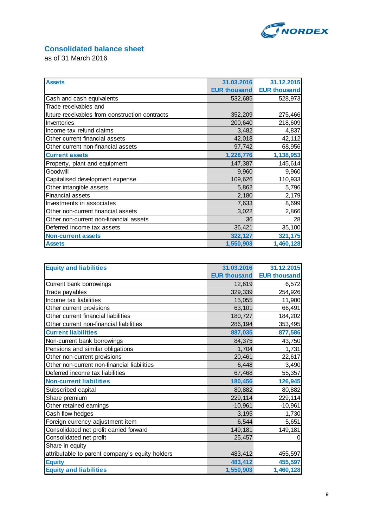

# **Consolidated balance sheet**

as of 31 March 2016

| <b>Assets</b>                                  | 31.03.2016          | 31.12.2015          |
|------------------------------------------------|---------------------|---------------------|
|                                                | <b>EUR thousand</b> | <b>EUR thousand</b> |
| Cash and cash equivalents                      | 532,685             | 528,973             |
| Trade receivables and                          |                     |                     |
| future receivables from construction contracts | 352,209             | 275,466             |
| Inventories                                    | 200,640             | 218,609             |
| Income tax refund claims                       | 3,482               | 4,837               |
| Other current financial assets                 | 42,018              | 42,112              |
| Other current non-financial assets             | 97,742              | 68,956              |
| <b>Current assets</b>                          | 1,228,776           | 1,138,953           |
| Property, plant and equipment                  | 147,387             | 145,614             |
| Goodwill                                       | 9,960               | 9,960               |
| Capitalised development expense                | 109,626             | 110,933             |
| Other intangible assets                        | 5,862               | 5,796               |
| <b>Financial assets</b>                        | 2,180               | 2,179               |
| Investments in associates                      | 7,633               | 8,699               |
| Other non-current financial assets             | 3,022               | 2,866               |
| Other non-current non-financial assets         | 36                  | 28                  |
| Deferred income tax assets                     | 36,421              | 35,100              |
| <b>Non-current assets</b>                      | 322,127             | 321,175             |
| <b>Assets</b>                                  | 1,550,903           | 1,460,128           |

| <b>Equity and liabilities</b>                   | 31.03.2016          | 31.12.2015          |
|-------------------------------------------------|---------------------|---------------------|
|                                                 | <b>EUR thousand</b> | <b>EUR thousand</b> |
| Current bank borrowings                         | 12,619              | 6,572               |
| Trade payables                                  | 329,339             | 254,926             |
| Income tax liabilities                          | 15,055              | 11,900              |
| Other current provisions                        | 63,101              | 66,491              |
| Other current financial liabilities             | 180,727             | 184,202             |
| Other current non-financial liabilities         | 286,194             | 353,495             |
| <b>Current liabilities</b>                      | 887,035             | 877,586             |
| Non-current bank borrowings                     | 84,375              | 43,750              |
| Pensions and similar obligations                | 1,704               | 1,731               |
| Other non-current provisions                    | 20,461              | 22,617              |
| Other non-current non-financial liabilities     | 6,448               | 3,490               |
| Deferred income tax liabilities                 | 67,468              | 55,357              |
| <b>Non-current liabilities</b>                  | 180,456             | 126,945             |
| Subscribed capital                              | 80,882              | 80,882              |
| Share premium                                   | 229,114             | 229,114             |
| Other retained earnings                         | $-10,961$           | $-10,961$           |
| Cash flow hedges                                | 3,195               | 1,730               |
| Foreign-currency adjustment item                | 6,544               | 5,651               |
| Consolidated net profit carried forward         | 149,181             | 149,181             |
| Consolidated net profit                         | 25,457              | 0                   |
| Share in equity                                 |                     |                     |
| attributable to parent company's equity holders | 483,412             | 455,597             |
| <b>Equity</b>                                   | 483,412             | 455,597             |
| <b>Equity and liabilities</b>                   | 1,550,903           | 1,460,128           |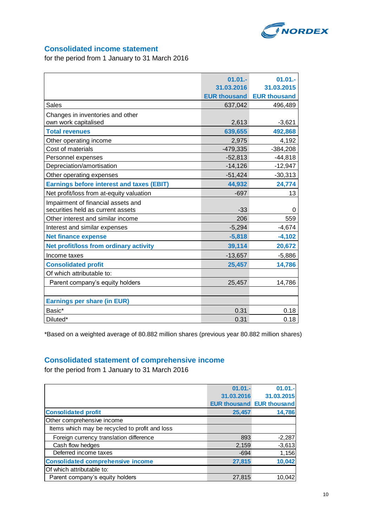

### **Consolidated income statement**

for the period from 1 January to 31 March 2016

|                                                  | $01.01 -$           | $01.01 -$           |
|--------------------------------------------------|---------------------|---------------------|
|                                                  | 31.03.2016          | 31.03.2015          |
|                                                  | <b>EUR thousand</b> | <b>EUR thousand</b> |
| <b>Sales</b>                                     |                     |                     |
|                                                  | 637,042             | 496,489             |
| Changes in inventories and other                 |                     |                     |
| own work capitalised                             | 2,613               | $-3,621$            |
| <b>Total revenues</b>                            | 639,655             | 492,868             |
| Other operating income                           | 2,975               | 4,192               |
| Cost of materials                                | $-479,335$          | $-384,208$          |
| Personnel expenses                               | $-52,813$           | $-44,818$           |
| Depreciation/amortisation                        | $-14,126$           | $-12,947$           |
| Other operating expenses                         | $-51,424$           | $-30,313$           |
| <b>Earnings before interest and taxes (EBIT)</b> | 44,932              | 24,774              |
| Net profit/loss from at-equity valuation         | $-697$              | 13                  |
| Impairment of financial assets and               |                     |                     |
| securities held as current assets                | $-33$               | 0                   |
| Other interest and similar income                | 206                 | 559                 |
| Interest and similar expenses                    | $-5,294$            | $-4,674$            |
| <b>Net finance expense</b>                       | $-5,818$            | $-4,102$            |
| Net profit/loss from ordinary activity           | 39,114              | 20,672              |
| Income taxes                                     | $-13,657$           | $-5,886$            |
| <b>Consolidated profit</b>                       | 25,457              | 14,786              |
| Of which attributable to:                        |                     |                     |
| Parent company's equity holders                  | 25,457              | 14,786              |
|                                                  |                     |                     |
| <b>Earnings per share (in EUR)</b>               |                     |                     |
| Basic*                                           | 0.31                | 0.18                |
| Diluted*                                         | 0.31                | 0.18                |

\*Based on a weighted average of 80.882 million shares (previous year 80.882 million shares)

## **Consolidated statement of comprehensive income**

for the period from 1 January to 31 March 2016

|                                                | $01.01 -$  | $01.01 -$                        |
|------------------------------------------------|------------|----------------------------------|
|                                                | 31.03.2016 | 31.03.2015                       |
|                                                |            | <b>EUR thousand EUR thousand</b> |
| <b>Consolidated profit</b>                     | 25,457     | 14,786                           |
| Other comprehensive income                     |            |                                  |
| Items which may be recycled to profit and loss |            |                                  |
| Foreign currency translation difference        | 893        | $-2,287$                         |
| Cash flow hedges                               | 2,159      | $-3,613$                         |
| Deferred income taxes                          | $-694$     | 1,156                            |
| <b>Consolidated comprehensive income</b>       | 27,815     | 10,042                           |
| Of which attributable to:                      |            |                                  |
| Parent company's equity holders                | 27,815     | 10,042                           |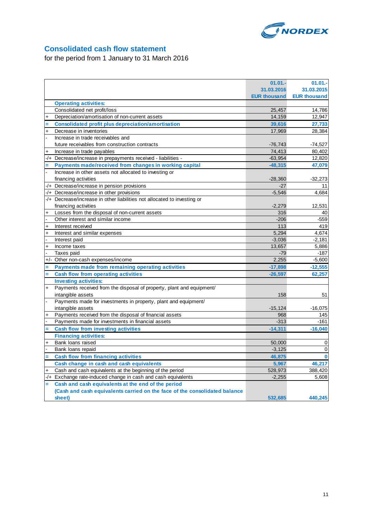

## **Consolidated cash flow statement**

for the period from 1 January to 31 March 2016

|           |                                                                            | $01.01 -$           | 01.01.              |
|-----------|----------------------------------------------------------------------------|---------------------|---------------------|
|           |                                                                            | 31.03.2016          | 31.03.2015          |
|           |                                                                            | <b>EUR thousand</b> | <b>EUR thousand</b> |
|           | <b>Operating activities:</b>                                               |                     |                     |
|           | Consolidated net profit/loss                                               | 25,457              | 14,786              |
| $\ddot{}$ | Depreciation/amortisation of non-current assets                            | 14,159              | 12,947              |
|           | <b>Consolidated profit plus depreciation/amortisation</b>                  | 39,616              | 27,733              |
| $\ddot{}$ | Decrease in inventories                                                    | 17,969              | 28,384              |
|           | Increase in trade receivables and                                          |                     |                     |
|           | future receivables from construction contracts                             | $-76,743$           | $-74,527$           |
|           | Increase in trade payables                                                 | 74,413              | 80,402              |
| -/+       | Decrease/increase in prepayments received - liabilities -                  | $-63,954$           | 12,820              |
|           | Payments made/received from changes in working capital                     | $-48,315$           | 47,079              |
|           | Increase in other assets not allocated to investing or                     |                     |                     |
|           |                                                                            | $-28,360$           |                     |
|           | financing activities<br>-/+ Decrease/increase in pension provisions        | $-27$               | $-32,273$<br>11     |
|           |                                                                            | $-5,546$            | 4,684               |
|           | -/+ Decrease/increase in other provisions                                  |                     |                     |
|           | -/+ Decrease/increase in other liabilities not allocated to investing or   |                     |                     |
|           | financing activities                                                       | $-2,279$            | 12,531              |
| $\ddot{}$ | Losses from the disposal of non-current assets                             | 316                 | 40                  |
|           | Other interest and similar income                                          | $-206$              | $-559$              |
| $\ddot{}$ | Interest received                                                          | 113                 | 419                 |
| $\ddot{}$ | Interest and similar expenses                                              | 5,294               | 4,674               |
|           | Interest paid                                                              | $-3,036$            | $-2,181$            |
| $\ddot{}$ | Income taxes                                                               | 13,657              | 5,886               |
|           | Taxes paid                                                                 | $-79$               | $-187$              |
|           | +/- Other non-cash expenses/income                                         | 2,255               | $-5,600$            |
|           | <b>Payments made from remaining operating activities</b>                   | $-17,898$           | $-12,555$           |
|           | <b>Cash flow from operating activities</b>                                 | $-26,597$           | 62,257              |
|           | <b>Investing activities:</b>                                               |                     |                     |
| $\ddot{}$ | Payments received from the disposal of property, plant and equipment/      |                     |                     |
|           | intangible assets                                                          | 158                 | 51                  |
|           | Payments made for investments in property, plant and equipment/            |                     |                     |
|           | intangible assets                                                          | $-15, 124$          | $-16,075$           |
|           | Payments received from the disposal of financial assets                    | 968                 | 145                 |
|           | Payments made for investments in financial assets                          | $-313$              | $-161$              |
|           | <b>Cash flow from investing activities</b>                                 | $-14,311$           | $-16,040$           |
|           | <b>Financing activities:</b>                                               |                     |                     |
| $\ddot{}$ | Bank loans raised                                                          | 50,000              | 0                   |
|           | Bank loans repaid                                                          | $-3,125$            | 0                   |
|           | <b>Cash flow from financing activities</b>                                 | 46,875              | $\bf{0}$            |
|           | Cash change in cash and cash equivalents                                   | 5,967               | 46,217              |
|           | Cash and cash equivalents at the beginning of the period                   | 528,973             | 388,420             |
|           | -/+ Exchange rate-induced change in cash and cash equivalents              | $-2,255$            | 5,608               |
|           | Cash and cash equivalents at the end of the period                         |                     |                     |
|           | (Cash and cash equivalents carried on the face of the consolidated balance |                     |                     |
|           | sheet)                                                                     | 532,685             | 440,245             |